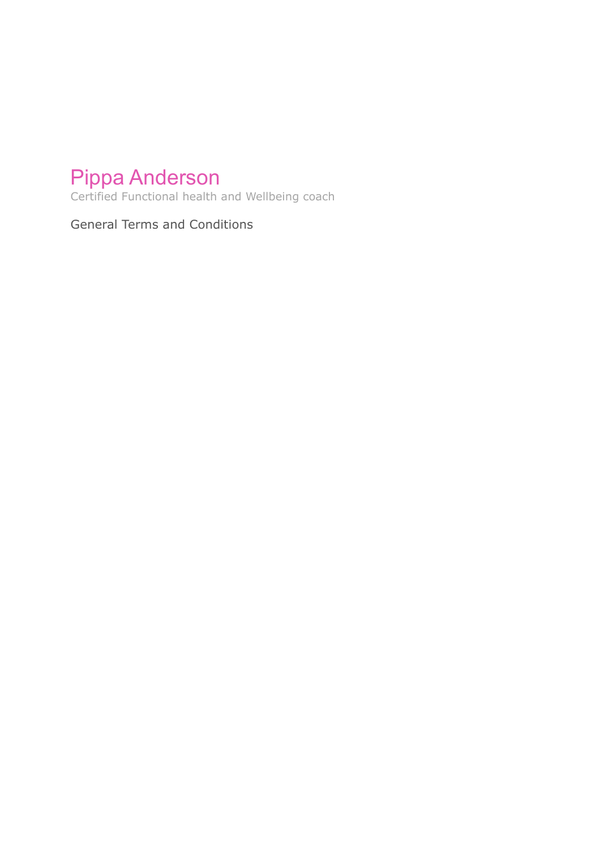# Pippa Anderson

Certified Functional health and Wellbeing coach

General Terms and Conditions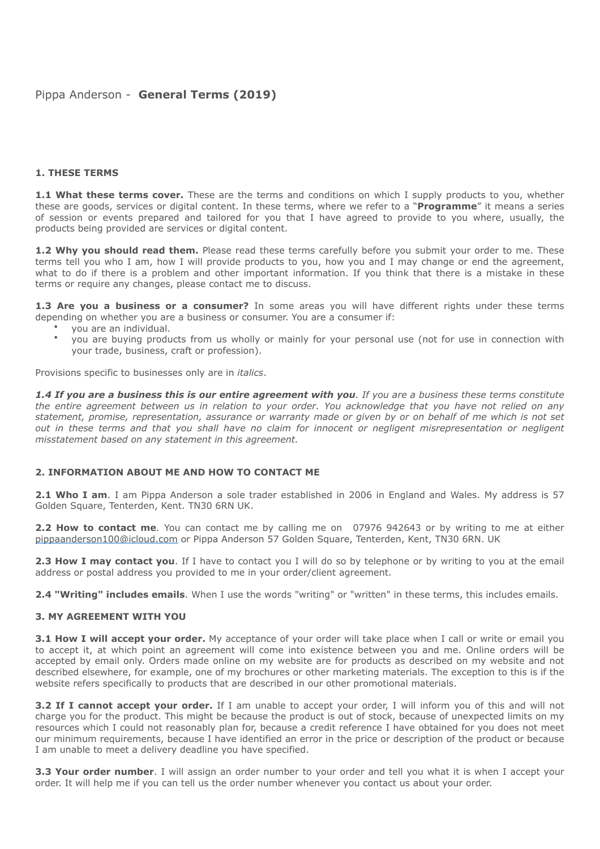# Pippa Anderson - **General Terms (2019)**

#### **1. THESE TERMS**

**1.1 What these terms cover.** These are the terms and conditions on which I supply products to you, whether these are goods, services or digital content. In these terms, where we refer to a "**Programme**" it means a series of session or events prepared and tailored for you that I have agreed to provide to you where, usually, the products being provided are services or digital content.

**1.2 Why you should read them.** Please read these terms carefully before you submit your order to me. These terms tell you who I am, how I will provide products to you, how you and I may change or end the agreement, what to do if there is a problem and other important information. If you think that there is a mistake in these terms or require any changes, please contact me to discuss.

**1.3 Are you a business or a consumer?** In some areas you will have different rights under these terms depending on whether you are a business or consumer. You are a consumer if:

- you are an individual.
- you are buying products from us wholly or mainly for your personal use (not for use in connection with your trade, business, craft or profession).

Provisions specific to businesses only are in *italics*.

*1.4 If you are a business this is our entire agreement with you. If you are a business these terms constitute the entire agreement between us in relation to your order. You acknowledge that you have not relied on any statement, promise, representation, assurance or warranty made or given by or on behalf of me which is not set out in these terms and that you shall have no claim for innocent or negligent misrepresentation or negligent misstatement based on any statement in this agreement.* 

#### **2. INFORMATION ABOUT ME AND HOW TO CONTACT ME**

**2.1 Who I am**. I am Pippa Anderson a sole trader established in 2006 in England and Wales. My address is 57 Golden Square, Tenterden, Kent. TN30 6RN UK.

**2.2 How to contact me**. You can contact me by calling me on 07976 942643 or by writing to me at either [pippaanderson100@icloud.com](mailto:pippaanderson100@icloud.com?subject=) or Pippa Anderson 57 Golden Square, Tenterden, Kent, TN30 6RN. UK

**2.3 How I may contact you**. If I have to contact you I will do so by telephone or by writing to you at the email address or postal address you provided to me in your order/client agreement.

**2.4 "Writing" includes emails**. When I use the words "writing" or "written" in these terms, this includes emails.

#### **3. MY AGREEMENT WITH YOU**

**3.1 How I will accept your order.** My acceptance of your order will take place when I call or write or email you to accept it, at which point an agreement will come into existence between you and me. Online orders will be accepted by email only. Orders made online on my website are for products as described on my website and not described elsewhere, for example, one of my brochures or other marketing materials. The exception to this is if the website refers specifically to products that are described in our other promotional materials.

**3.2 If I cannot accept your order.** If I am unable to accept your order, I will inform you of this and will not charge you for the product. This might be because the product is out of stock, because of unexpected limits on my resources which I could not reasonably plan for, because a credit reference I have obtained for you does not meet our minimum requirements, because I have identified an error in the price or description of the product or because I am unable to meet a delivery deadline you have specified.

**3.3 Your order number**. I will assign an order number to your order and tell you what it is when I accept your order. It will help me if you can tell us the order number whenever you contact us about your order.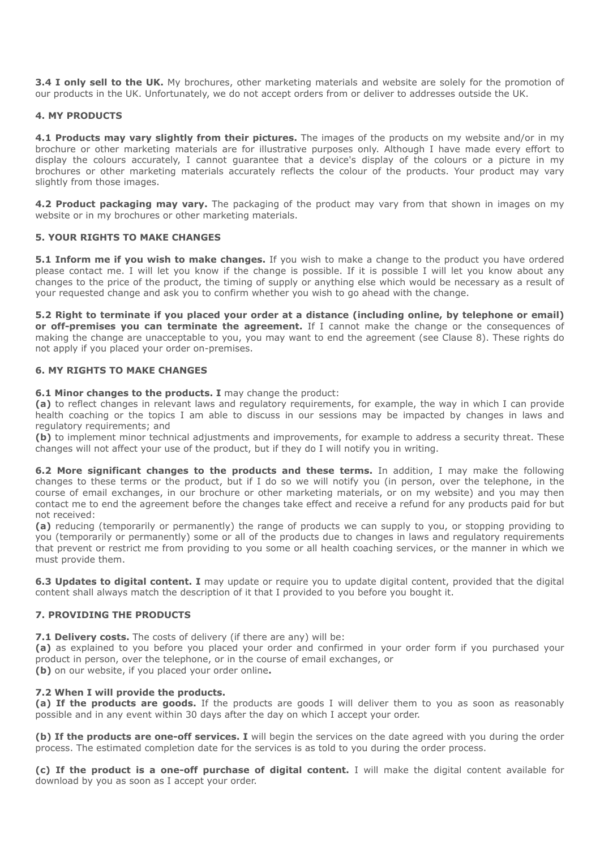**3.4 I only sell to the UK.** My brochures, other marketing materials and website are solely for the promotion of our products in the UK. Unfortunately, we do not accept orders from or deliver to addresses outside the UK.

## **4. MY PRODUCTS**

**4.1 Products may vary slightly from their pictures.** The images of the products on my website and/or in my brochure or other marketing materials are for illustrative purposes only. Although I have made every effort to display the colours accurately, I cannot guarantee that a device's display of the colours or a picture in my brochures or other marketing materials accurately reflects the colour of the products. Your product may vary slightly from those images.

**4.2 Product packaging may vary.** The packaging of the product may vary from that shown in images on my website or in my brochures or other marketing materials.

#### **5. YOUR RIGHTS TO MAKE CHANGES**

**5.1 Inform me if you wish to make changes.** If you wish to make a change to the product you have ordered please contact me. I will let you know if the change is possible. If it is possible I will let you know about any changes to the price of the product, the timing of supply or anything else which would be necessary as a result of your requested change and ask you to confirm whether you wish to go ahead with the change.

**5.2 Right to terminate if you placed your order at a distance (including online, by telephone or email) or off-premises you can terminate the agreement.** If I cannot make the change or the consequences of making the change are unacceptable to you, you may want to end the agreement (see Clause 8). These rights do not apply if you placed your order on-premises.

## **6. MY RIGHTS TO MAKE CHANGES**

**6.1 Minor changes to the products. I** may change the product:

**(a)** to reflect changes in relevant laws and regulatory requirements, for example, the way in which I can provide health coaching or the topics I am able to discuss in our sessions may be impacted by changes in laws and regulatory requirements; and

**(b)** to implement minor technical adjustments and improvements, for example to address a security threat. These changes will not affect your use of the product, but if they do I will notify you in writing.

**6.2 More significant changes to the products and these terms.** In addition, I may make the following changes to these terms or the product, but if I do so we will notify you (in person, over the telephone, in the course of email exchanges, in our brochure or other marketing materials, or on my website) and you may then contact me to end the agreement before the changes take effect and receive a refund for any products paid for but not received:

**(a)** reducing (temporarily or permanently) the range of products we can supply to you, or stopping providing to you (temporarily or permanently) some or all of the products due to changes in laws and regulatory requirements that prevent or restrict me from providing to you some or all health coaching services, or the manner in which we must provide them.

**6.3 Updates to digital content. I** may update or require you to update digital content, provided that the digital content shall always match the description of it that I provided to you before you bought it.

## **7. PROVIDING THE PRODUCTS**

**7.1 Delivery costs.** The costs of delivery (if there are any) will be:

**(a)** as explained to you before you placed your order and confirmed in your order form if you purchased your product in person, over the telephone, or in the course of email exchanges, or **(b)** on our website, if you placed your order online**.** 

#### **7.2 When I will provide the products.**

**(a) If the products are goods.** If the products are goods I will deliver them to you as soon as reasonably possible and in any event within 30 days after the day on which I accept your order.

**(b) If the products are one-off services. I** will begin the services on the date agreed with you during the order process. The estimated completion date for the services is as told to you during the order process.

**(c) If the product is a one-off purchase of digital content.** I will make the digital content available for download by you as soon as I accept your order.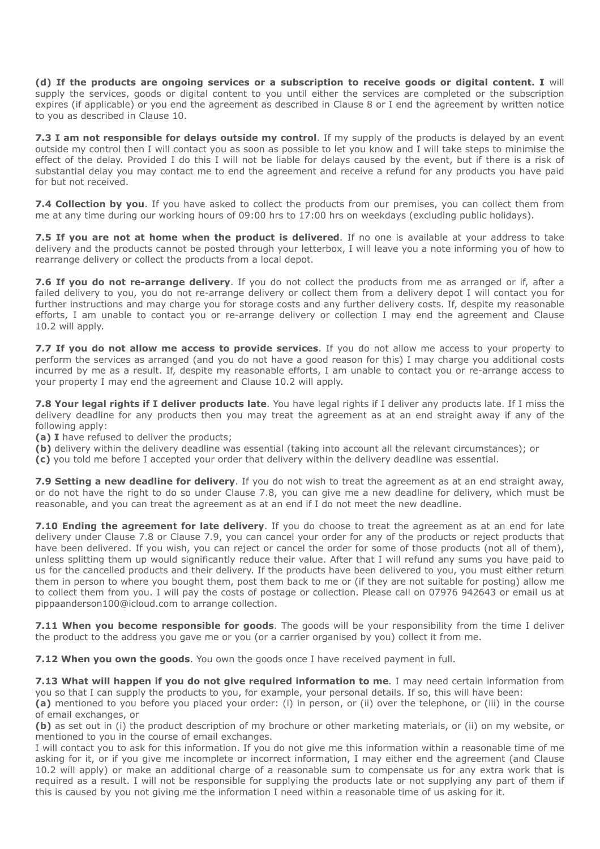**(d) If the products are ongoing services or a subscription to receive goods or digital content. I** will supply the services, goods or digital content to you until either the services are completed or the subscription expires (if applicable) or you end the agreement as described in Clause 8 or I end the agreement by written notice to you as described in Clause 10.

**7.3 I am not responsible for delays outside my control**. If my supply of the products is delayed by an event outside my control then I will contact you as soon as possible to let you know and I will take steps to minimise the effect of the delay. Provided I do this I will not be liable for delays caused by the event, but if there is a risk of substantial delay you may contact me to end the agreement and receive a refund for any products you have paid for but not received.

**7.4 Collection by you**. If you have asked to collect the products from our premises, you can collect them from me at any time during our working hours of 09:00 hrs to 17:00 hrs on weekdays (excluding public holidays).

**7.5 If you are not at home when the product is delivered**. If no one is available at your address to take delivery and the products cannot be posted through your letterbox, I will leave you a note informing you of how to rearrange delivery or collect the products from a local depot.

**7.6 If you do not re-arrange delivery**. If you do not collect the products from me as arranged or if, after a failed delivery to you, you do not re-arrange delivery or collect them from a delivery depot I will contact you for further instructions and may charge you for storage costs and any further delivery costs. If, despite my reasonable efforts, I am unable to contact you or re-arrange delivery or collection I may end the agreement and Clause 10.2 will apply.

**7.7 If you do not allow me access to provide services**. If you do not allow me access to your property to perform the services as arranged (and you do not have a good reason for this) I may charge you additional costs incurred by me as a result. If, despite my reasonable efforts, I am unable to contact you or re-arrange access to your property I may end the agreement and Clause 10.2 will apply.

**7.8 Your legal rights if I deliver products late**. You have legal rights if I deliver any products late. If I miss the delivery deadline for any products then you may treat the agreement as at an end straight away if any of the following apply:

**(a) I** have refused to deliver the products;

**(b)** delivery within the delivery deadline was essential (taking into account all the relevant circumstances); or

**(c)** you told me before I accepted your order that delivery within the delivery deadline was essential.

**7.9 Setting a new deadline for delivery**. If you do not wish to treat the agreement as at an end straight away, or do not have the right to do so under Clause 7.8, you can give me a new deadline for delivery, which must be reasonable, and you can treat the agreement as at an end if I do not meet the new deadline.

**7.10 Ending the agreement for late delivery**. If you do choose to treat the agreement as at an end for late delivery under Clause 7.8 or Clause 7.9, you can cancel your order for any of the products or reject products that have been delivered. If you wish, you can reject or cancel the order for some of those products (not all of them), unless splitting them up would significantly reduce their value. After that I will refund any sums you have paid to us for the cancelled products and their delivery. If the products have been delivered to you, you must either return them in person to where you bought them, post them back to me or (if they are not suitable for posting) allow me to collect them from you. I will pay the costs of postage or collection. Please call on 07976 942643 or email us at pippaanderson100@icloud.com to arrange collection.

**7.11 When you become responsible for goods**. The goods will be your responsibility from the time I deliver the product to the address you gave me or you (or a carrier organised by you) collect it from me.

**7.12 When you own the goods.** You own the goods once I have received payment in full.

**7.13 What will happen if you do not give required information to me**. I may need certain information from you so that I can supply the products to you, for example, your personal details. If so, this will have been:

**(a)** mentioned to you before you placed your order: (i) in person, or (ii) over the telephone, or (iii) in the course of email exchanges, or

**(b)** as set out in (i) the product description of my brochure or other marketing materials, or (ii) on my website, or mentioned to you in the course of email exchanges.

I will contact you to ask for this information. If you do not give me this information within a reasonable time of me asking for it, or if you give me incomplete or incorrect information, I may either end the agreement (and Clause 10.2 will apply) or make an additional charge of a reasonable sum to compensate us for any extra work that is required as a result. I will not be responsible for supplying the products late or not supplying any part of them if this is caused by you not giving me the information I need within a reasonable time of us asking for it.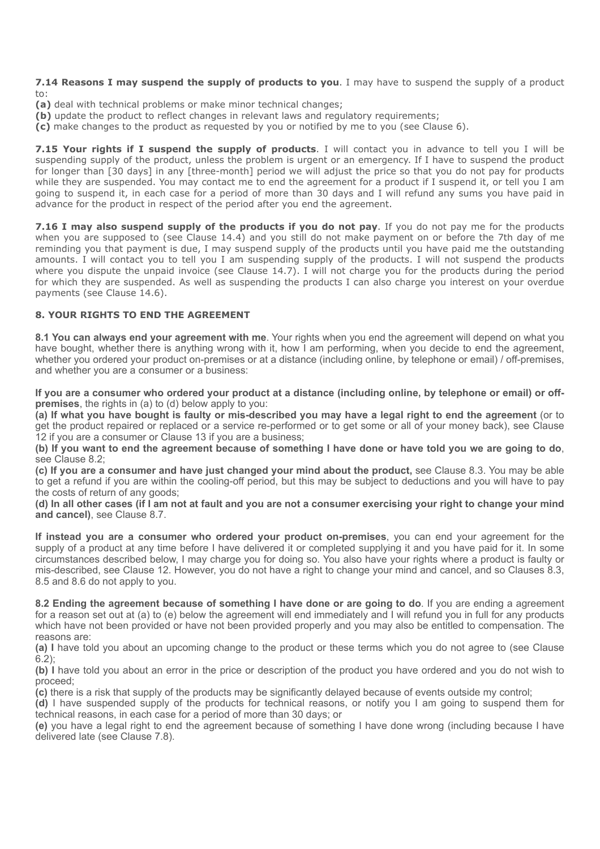**7.14 Reasons I may suspend the supply of products to you**. I may have to suspend the supply of a product to:

- **(a)** deal with technical problems or make minor technical changes;
- **(b)** update the product to reflect changes in relevant laws and regulatory requirements;
- **(c)** make changes to the product as requested by you or notified by me to you (see Clause 6).

**7.15 Your rights if I suspend the supply of products**. I will contact you in advance to tell you I will be suspending supply of the product, unless the problem is urgent or an emergency. If I have to suspend the product for longer than [30 days] in any [three-month] period we will adjust the price so that you do not pay for products while they are suspended. You may contact me to end the agreement for a product if I suspend it, or tell you I am going to suspend it, in each case for a period of more than 30 days and I will refund any sums you have paid in advance for the product in respect of the period after you end the agreement.

**7.16** I may also suspend supply of the products if you do not pay. If you do not pay me for the products when you are supposed to (see Clause 14.4) and you still do not make payment on or before the 7th day of me reminding you that payment is due, I may suspend supply of the products until you have paid me the outstanding amounts. I will contact you to tell you I am suspending supply of the products. I will not suspend the products where you dispute the unpaid invoice (see Clause 14.7). I will not charge you for the products during the period for which they are suspended. As well as suspending the products I can also charge you interest on your overdue payments (see Clause 14.6).

## **8. YOUR RIGHTS TO END THE AGREEMENT**

**8.1 You can always end your agreement with me**. Your rights when you end the agreement will depend on what you have bought, whether there is anything wrong with it, how I am performing, when you decide to end the agreement, whether you ordered your product on-premises or at a distance (including online, by telephone or email) / off-premises, and whether you are a consumer or a business:

**If you are a consumer who ordered your product at a distance (including online, by telephone or email) or offpremises**, the rights in (a) to (d) below apply to you:

**(a) If what you have bought is faulty or mis-described you may have a legal right to end the agreement** (or to get the product repaired or replaced or a service re-performed or to get some or all of your money back), see Clause 12 if you are a consumer or Clause 13 if you are a business;

**(b) If you want to end the agreement because of something I have done or have told you we are going to do**, see Clause 8.2;

**(c) If you are a consumer and have just changed your mind about the product,** see Clause 8.3. You may be able to get a refund if you are within the cooling-off period, but this may be subject to deductions and you will have to pay the costs of return of any goods;

**(d) In all other cases (if I am not at fault and you are not a consumer exercising your right to change your mind and cancel)**, see Clause 8.7.

**If instead you are a consumer who ordered your product on-premises**, you can end your agreement for the supply of a product at any time before I have delivered it or completed supplying it and you have paid for it. In some circumstances described below, I may charge you for doing so. You also have your rights where a product is faulty or mis-described, see Clause 12. However, you do not have a right to change your mind and cancel, and so Clauses 8.3, 8.5 and 8.6 do not apply to you.

**8.2 Ending the agreement because of something I have done or are going to do**. If you are ending a agreement for a reason set out at (a) to (e) below the agreement will end immediately and I will refund you in full for any products which have not been provided or have not been provided properly and you may also be entitled to compensation. The reasons are:

**(a) I** have told you about an upcoming change to the product or these terms which you do not agree to (see Clause  $6.2$ 

**(b) I** have told you about an error in the price or description of the product you have ordered and you do not wish to proceed;

**(c)** there is a risk that supply of the products may be significantly delayed because of events outside my control;

**(d)** I have suspended supply of the products for technical reasons, or notify you I am going to suspend them for technical reasons, in each case for a period of more than 30 days; or

**(e)** you have a legal right to end the agreement because of something I have done wrong (including because I have delivered late (see Clause 7.8).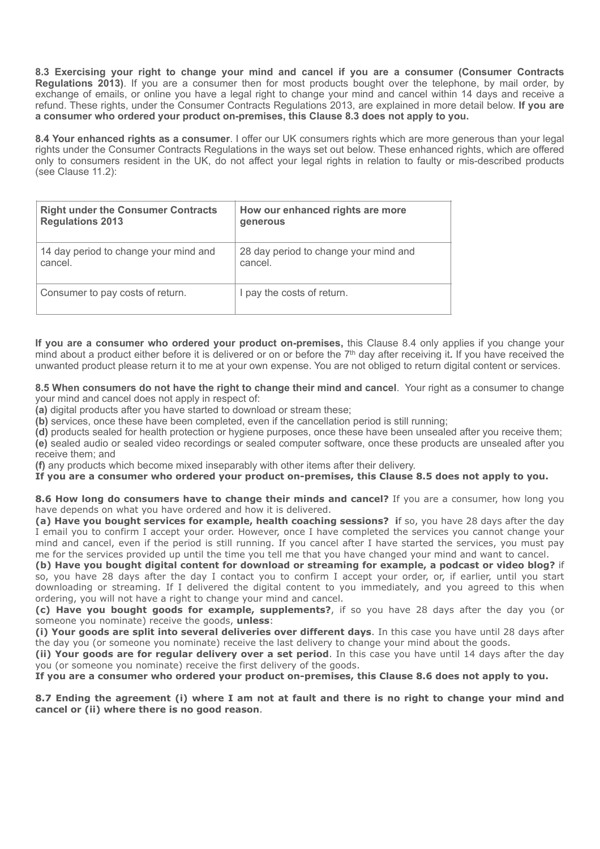**8.3 Exercising your right to change your mind and cancel if you are a consumer (Consumer Contracts Regulations 2013)**. If you are a consumer then for most products bought over the telephone, by mail order, by exchange of emails, or online you have a legal right to change your mind and cancel within 14 days and receive a refund. These rights, under the Consumer Contracts Regulations 2013, are explained in more detail below. **If you are a consumer who ordered your product on-premises, this Clause 8.3 does not apply to you.**

**8.4 Your enhanced rights as a consumer**. I offer our UK consumers rights which are more generous than your legal rights under the Consumer Contracts Regulations in the ways set out below. These enhanced rights, which are offered only to consumers resident in the UK, do not affect your legal rights in relation to faulty or mis-described products (see Clause 11.2):

| <b>Right under the Consumer Contracts</b> | How our enhanced rights are more      |
|-------------------------------------------|---------------------------------------|
| <b>Regulations 2013</b>                   | generous                              |
| 14 day period to change your mind and     | 28 day period to change your mind and |
| cancel.                                   | cancel.                               |
| Consumer to pay costs of return.          | I pay the costs of return.            |

**If you are a consumer who ordered your product on-premises,** this Clause 8.4 only applies if you change your mind about a product either before it is delivered or on or before the 7th day after receiving it**.** If you have received the unwanted product please return it to me at your own expense. You are not obliged to return digital content or services.

**8.5 When consumers do not have the right to change their mind and cancel**. Your right as a consumer to change your mind and cancel does not apply in respect of:

**(a)** digital products after you have started to download or stream these;

**(b)** services, once these have been completed, even if the cancellation period is still running;

**(d)** products sealed for health protection or hygiene purposes, once these have been unsealed after you receive them; **(e)** sealed audio or sealed video recordings or sealed computer software, once these products are unsealed after you receive them; and

**(f)** any products which become mixed inseparably with other items after their delivery.

**If you are a consumer who ordered your product on-premises, this Clause 8.5 does not apply to you.**

**8.6 How long do consumers have to change their minds and cancel?** If you are a consumer, how long you have depends on what you have ordered and how it is delivered.

**(a) Have you bought services for example, health coaching sessions? i**f so, you have 28 days after the day I email you to confirm I accept your order. However, once I have completed the services you cannot change your mind and cancel, even if the period is still running. If you cancel after I have started the services, you must pay me for the services provided up until the time you tell me that you have changed your mind and want to cancel.

**(b) Have you bought digital content for download or streaming for example, a podcast or video blog?** if so, you have 28 days after the day I contact you to confirm I accept your order, or, if earlier, until you start downloading or streaming. If I delivered the digital content to you immediately, and you agreed to this when ordering, you will not have a right to change your mind and cancel.

**(c) Have you bought goods for example, supplements?**, if so you have 28 days after the day you (or someone you nominate) receive the goods, **unless**:

**(i) Your goods are split into several deliveries over different days**. In this case you have until 28 days after the day you (or someone you nominate) receive the last delivery to change your mind about the goods.

**(ii) Your goods are for regular delivery over a set period**. In this case you have until 14 days after the day you (or someone you nominate) receive the first delivery of the goods.

**If you are a consumer who ordered your product on-premises, this Clause 8.6 does not apply to you.**

**8.7 Ending the agreement (i) where I am not at fault and there is no right to change your mind and cancel or (ii) where there is no good reason**.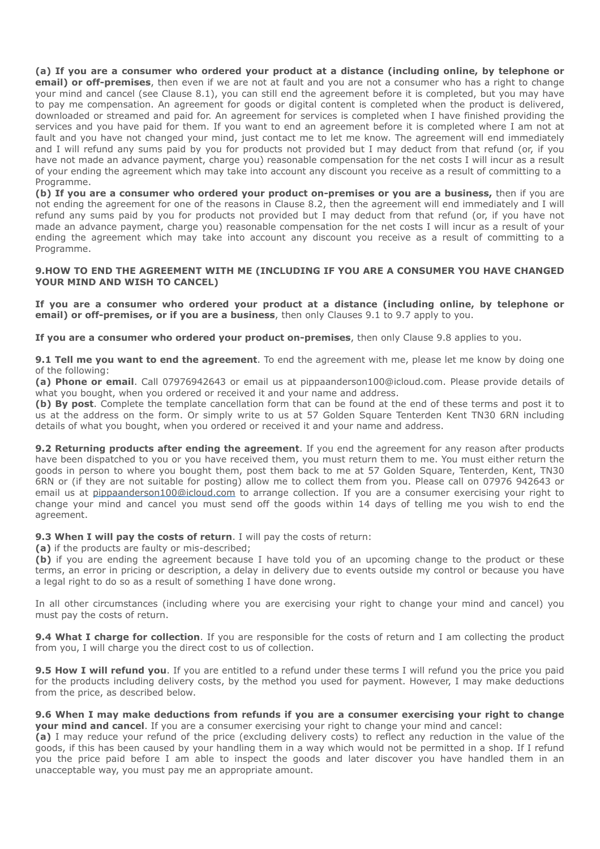**(a) If you are a consumer who ordered your product at a distance (including online, by telephone or email) or off-premises**, then even if we are not at fault and you are not a consumer who has a right to change your mind and cancel (see Clause 8.1), you can still end the agreement before it is completed, but you may have to pay me compensation. An agreement for goods or digital content is completed when the product is delivered, downloaded or streamed and paid for. An agreement for services is completed when I have finished providing the services and you have paid for them. If you want to end an agreement before it is completed where I am not at fault and you have not changed your mind, just contact me to let me know. The agreement will end immediately and I will refund any sums paid by you for products not provided but I may deduct from that refund (or, if you have not made an advance payment, charge you) reasonable compensation for the net costs I will incur as a result of your ending the agreement which may take into account any discount you receive as a result of committing to a Programme.

**(b) If you are a consumer who ordered your product on-premises or you are a business,** then if you are not ending the agreement for one of the reasons in Clause 8.2, then the agreement will end immediately and I will refund any sums paid by you for products not provided but I may deduct from that refund (or, if you have not made an advance payment, charge you) reasonable compensation for the net costs I will incur as a result of your ending the agreement which may take into account any discount you receive as a result of committing to a Programme.

#### **9.HOW TO END THE AGREEMENT WITH ME (INCLUDING IF YOU ARE A CONSUMER YOU HAVE CHANGED YOUR MIND AND WISH TO CANCEL)**

**If you are a consumer who ordered your product at a distance (including online, by telephone or email) or off-premises, or if you are a business**, then only Clauses 9.1 to 9.7 apply to you.

**If you are a consumer who ordered your product on-premises**, then only Clause 9.8 applies to you.

**9.1 Tell me you want to end the agreement**. To end the agreement with me, please let me know by doing one of the following:

**(a) Phone or email**. Call 07976942643 or email us at pippaanderson100@icloud.com. Please provide details of what you bought, when you ordered or received it and your name and address.

**(b) By post**. Complete the template cancellation form that can be found at the end of these terms and post it to us at the address on the form. Or simply write to us at 57 Golden Square Tenterden Kent TN30 6RN including details of what you bought, when you ordered or received it and your name and address.

**9.2 Returning products after ending the agreement**. If you end the agreement for any reason after products have been dispatched to you or you have received them, you must return them to me. You must either return the goods in person to where you bought them, post them back to me at 57 Golden Square, Tenterden, Kent, TN30 6RN or (if they are not suitable for posting) allow me to collect them from you. Please call on 07976 942643 or email us at [pippaanderson100@icloud.com](mailto:pippaanderson100@icloud.com) to arrange collection. If you are a consumer exercising your right to change your mind and cancel you must send off the goods within 14 days of telling me you wish to end the agreement.

**9.3 When I will pay the costs of return**. I will pay the costs of return:

**(a)** if the products are faulty or mis-described;

**(b)** if you are ending the agreement because I have told you of an upcoming change to the product or these terms, an error in pricing or description, a delay in delivery due to events outside my control or because you have a legal right to do so as a result of something I have done wrong.

In all other circumstances (including where you are exercising your right to change your mind and cancel) you must pay the costs of return.

**9.4 What I charge for collection**. If you are responsible for the costs of return and I am collecting the product from you, I will charge you the direct cost to us of collection.

**9.5 How I will refund you**. If you are entitled to a refund under these terms I will refund you the price you paid for the products including delivery costs, by the method you used for payment. However, I may make deductions from the price, as described below.

#### **9.6 When I may make deductions from refunds if you are a consumer exercising your right to change your mind and cancel**. If you are a consumer exercising your right to change your mind and cancel:

**(a)** I may reduce your refund of the price (excluding delivery costs) to reflect any reduction in the value of the goods, if this has been caused by your handling them in a way which would not be permitted in a shop. If I refund you the price paid before I am able to inspect the goods and later discover you have handled them in an unacceptable way, you must pay me an appropriate amount.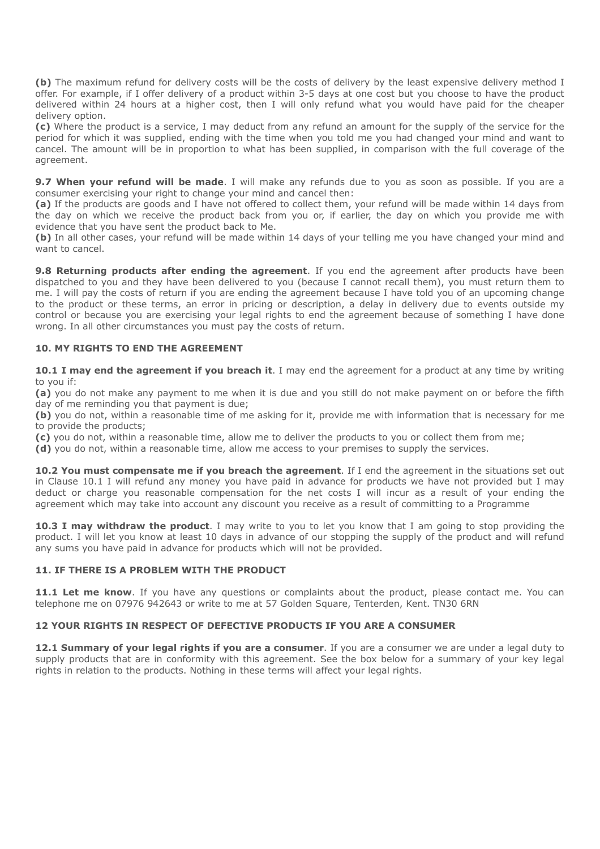**(b)** The maximum refund for delivery costs will be the costs of delivery by the least expensive delivery method I offer. For example, if I offer delivery of a product within 3-5 days at one cost but you choose to have the product delivered within 24 hours at a higher cost, then I will only refund what you would have paid for the cheaper delivery option.

**(c)** Where the product is a service, I may deduct from any refund an amount for the supply of the service for the period for which it was supplied, ending with the time when you told me you had changed your mind and want to cancel. The amount will be in proportion to what has been supplied, in comparison with the full coverage of the agreement.

**9.7 When your refund will be made**. I will make any refunds due to you as soon as possible. If you are a consumer exercising your right to change your mind and cancel then:

**(a)** If the products are goods and I have not offered to collect them, your refund will be made within 14 days from the day on which we receive the product back from you or, if earlier, the day on which you provide me with evidence that you have sent the product back to Me.

**(b)** In all other cases, your refund will be made within 14 days of your telling me you have changed your mind and want to cancel.

**9.8 Returning products after ending the agreement**. If you end the agreement after products have been dispatched to you and they have been delivered to you (because I cannot recall them), you must return them to me. I will pay the costs of return if you are ending the agreement because I have told you of an upcoming change to the product or these terms, an error in pricing or description, a delay in delivery due to events outside my control or because you are exercising your legal rights to end the agreement because of something I have done wrong. In all other circumstances you must pay the costs of return.

## **10. MY RIGHTS TO END THE AGREEMENT**

**10.1 I may end the agreement if you breach it**. I may end the agreement for a product at any time by writing to you if:

**(a)** you do not make any payment to me when it is due and you still do not make payment on or before the fifth day of me reminding you that payment is due;

**(b)** you do not, within a reasonable time of me asking for it, provide me with information that is necessary for me to provide the products;

**(c)** you do not, within a reasonable time, allow me to deliver the products to you or collect them from me;

**(d)** you do not, within a reasonable time, allow me access to your premises to supply the services.

**10.2 You must compensate me if you breach the agreement**. If I end the agreement in the situations set out in Clause 10.1 I will refund any money you have paid in advance for products we have not provided but I may deduct or charge you reasonable compensation for the net costs I will incur as a result of your ending the agreement which may take into account any discount you receive as a result of committing to a Programme

**10.3 I may withdraw the product**. I may write to you to let you know that I am going to stop providing the product. I will let you know at least 10 days in advance of our stopping the supply of the product and will refund any sums you have paid in advance for products which will not be provided.

#### **11. IF THERE IS A PROBLEM WITH THE PRODUCT**

**11.1 Let me know**. If you have any questions or complaints about the product, please contact me. You can telephone me on 07976 942643 or write to me at 57 Golden Square, Tenterden, Kent. TN30 6RN

#### **12 YOUR RIGHTS IN RESPECT OF DEFECTIVE PRODUCTS IF YOU ARE A CONSUMER**

**12.1 Summary of your legal rights if you are a consumer**. If you are a consumer we are under a legal duty to supply products that are in conformity with this agreement. See the box below for a summary of your key legal rights in relation to the products. Nothing in these terms will affect your legal rights.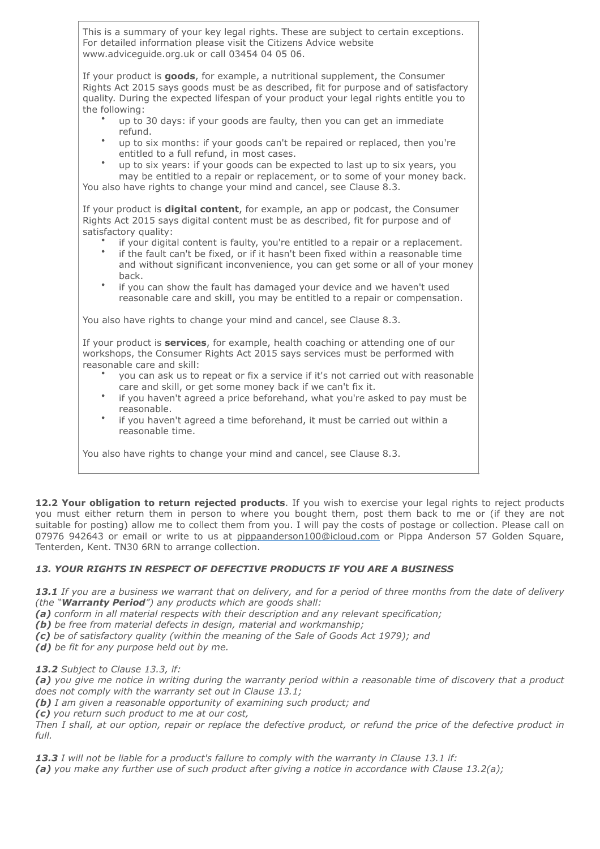This is a summary of your key legal rights. These are subject to certain exceptions. For detailed information please visit the Citizens Advice website www.adviceguide.org.uk or call 03454 04 05 06.

If your product is **goods**, for example, a nutritional supplement, the Consumer Rights Act 2015 says goods must be as described, fit for purpose and of satisfactory quality. During the expected lifespan of your product your legal rights entitle you to the following:

- up to 30 days: if your goods are faulty, then you can get an immediate refund.
- up to six months: if your goods can't be repaired or replaced, then you're entitled to a full refund, in most cases.
- up to six years: if your goods can be expected to last up to six years, you may be entitled to a repair or replacement, or to some of your money back. You also have rights to change your mind and cancel, see Clause 8.3.

If your product is **digital content**, for example, an app or podcast, the Consumer Rights Act 2015 says digital content must be as described, fit for purpose and of satisfactory quality:

- if your digital content is faulty, you're entitled to a repair or a replacement.
- if the fault can't be fixed, or if it hasn't been fixed within a reasonable time and without significant inconvenience, you can get some or all of your money back.
- if you can show the fault has damaged your device and we haven't used reasonable care and skill, you may be entitled to a repair or compensation.

You also have rights to change your mind and cancel, see Clause 8.3.

If your product is **services**, for example, health coaching or attending one of our workshops, the Consumer Rights Act 2015 says services must be performed with reasonable care and skill:

- you can ask us to repeat or fix a service if it's not carried out with reasonable care and skill, or get some money back if we can't fix it.
- if you haven't agreed a price beforehand, what you're asked to pay must be reasonable.
- if you haven't agreed a time beforehand, it must be carried out within a reasonable time.

You also have rights to change your mind and cancel, see Clause 8.3.

**12.2 Your obligation to return rejected products**. If you wish to exercise your legal rights to reject products you must either return them in person to where you bought them, post them back to me or (if they are not suitable for posting) allow me to collect them from you. I will pay the costs of postage or collection. Please call on 07976 942643 or email or write to us at [pippaanderson100@icloud.com](mailto:pippaanderson100@icloud.com) or Pippa Anderson 57 Golden Square, Tenterden, Kent. TN30 6RN to arrange collection.

# *13. YOUR RIGHTS IN RESPECT OF DEFECTIVE PRODUCTS IF YOU ARE A BUSINESS*

*13.1 If you are a business we warrant that on delivery, and for a period of three months from the date of delivery (the "Warranty Period") any products which are goods shall:* 

- *(a) conform in all material respects with their description and any relevant specification;*
- *(b) be free from material defects in design, material and workmanship;*
- *(c) be of satisfactory quality (within the meaning of the Sale of Goods Act 1979); and*
- *(d) be fit for any purpose held out by me.*

*13.2 Subject to Clause 13.3, if:* 

*(a) you give me notice in writing during the warranty period within a reasonable time of discovery that a product does not comply with the warranty set out in Clause 13.1;* 

*(b) I am given a reasonable opportunity of examining such product; and* 

*(c) you return such product to me at our cost,* 

*Then I shall, at our option, repair or replace the defective product, or refund the price of the defective product in full.* 

*13.3 I will not be liable for a product's failure to comply with the warranty in Clause 13.1 if:* 

*(a) you make any further use of such product after giving a notice in accordance with Clause 13.2(a);*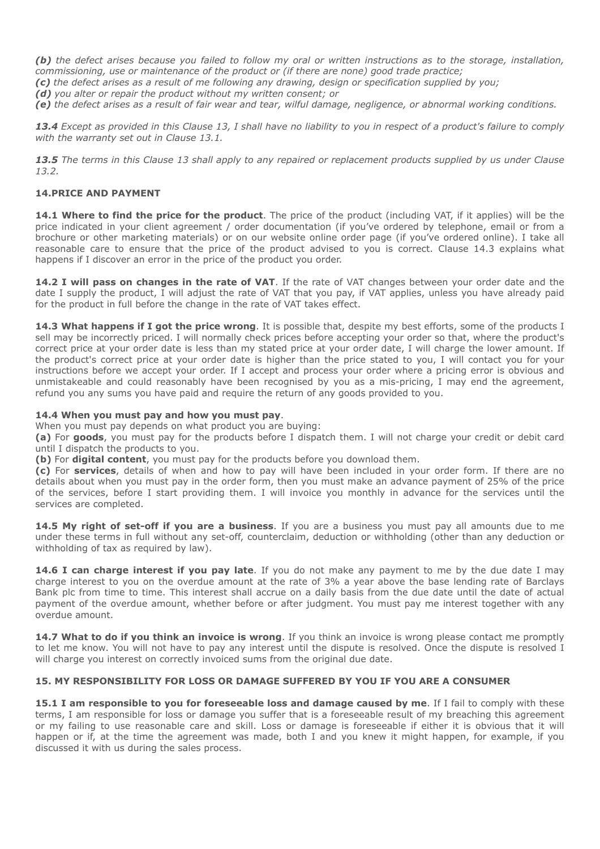*(b) the defect arises because you failed to follow my oral or written instructions as to the storage, installation, commissioning, use or maintenance of the product or (if there are none) good trade practice;* 

*(c) the defect arises as a result of me following any drawing, design or specification supplied by you;* 

*(d) you alter or repair the product without my written consent; or* 

*(e) the defect arises as a result of fair wear and tear, wilful damage, negligence, or abnormal working conditions.* 

*13.4 Except as provided in this Clause 13, I shall have no liability to you in respect of a product's failure to comply with the warranty set out in Clause 13.1.* 

*13.5 The terms in this Clause 13 shall apply to any repaired or replacement products supplied by us under Clause 13.2.* 

## **14.PRICE AND PAYMENT**

**14.1 Where to find the price for the product**. The price of the product (including VAT, if it applies) will be the price indicated in your client agreement / order documentation (if you've ordered by telephone, email or from a brochure or other marketing materials) or on our website online order page (if you've ordered online). I take all reasonable care to ensure that the price of the product advised to you is correct. Clause 14.3 explains what happens if I discover an error in the price of the product you order.

**14.2 I will pass on changes in the rate of VAT**. If the rate of VAT changes between your order date and the date I supply the product, I will adjust the rate of VAT that you pay, if VAT applies, unless you have already paid for the product in full before the change in the rate of VAT takes effect.

**14.3 What happens if I got the price wrong**. It is possible that, despite my best efforts, some of the products I sell may be incorrectly priced. I will normally check prices before accepting your order so that, where the product's correct price at your order date is less than my stated price at your order date, I will charge the lower amount. If the product's correct price at your order date is higher than the price stated to you, I will contact you for your instructions before we accept your order. If I accept and process your order where a pricing error is obvious and unmistakeable and could reasonably have been recognised by you as a mis-pricing, I may end the agreement, refund you any sums you have paid and require the return of any goods provided to you.

#### **14.4 When you must pay and how you must pay**.

When you must pay depends on what product you are buying:

**(a)** For **goods**, you must pay for the products before I dispatch them. I will not charge your credit or debit card until I dispatch the products to you.

**(b)** For **digital content**, you must pay for the products before you download them.

**(c)** For **services**, details of when and how to pay will have been included in your order form. If there are no details about when you must pay in the order form, then you must make an advance payment of 25% of the price of the services, before I start providing them. I will invoice you monthly in advance for the services until the services are completed.

14.5 My right of set-off if you are a business. If you are a business you must pay all amounts due to me under these terms in full without any set-off, counterclaim, deduction or withholding (other than any deduction or withholding of tax as required by law).

14.6 I can charge interest if you pay late. If you do not make any payment to me by the due date I may charge interest to you on the overdue amount at the rate of 3% a year above the base lending rate of Barclays Bank plc from time to time. This interest shall accrue on a daily basis from the due date until the date of actual payment of the overdue amount, whether before or after judgment. You must pay me interest together with any overdue amount.

14.7 What to do if you think an invoice is wrong. If you think an invoice is wrong please contact me promptly to let me know. You will not have to pay any interest until the dispute is resolved. Once the dispute is resolved I will charge you interest on correctly invoiced sums from the original due date.

#### **15. MY RESPONSIBILITY FOR LOSS OR DAMAGE SUFFERED BY YOU IF YOU ARE A CONSUMER**

**15.1 I am responsible to you for foreseeable loss and damage caused by me**. If I fail to comply with these terms, I am responsible for loss or damage you suffer that is a foreseeable result of my breaching this agreement or my failing to use reasonable care and skill. Loss or damage is foreseeable if either it is obvious that it will happen or if, at the time the agreement was made, both I and you knew it might happen, for example, if you discussed it with us during the sales process.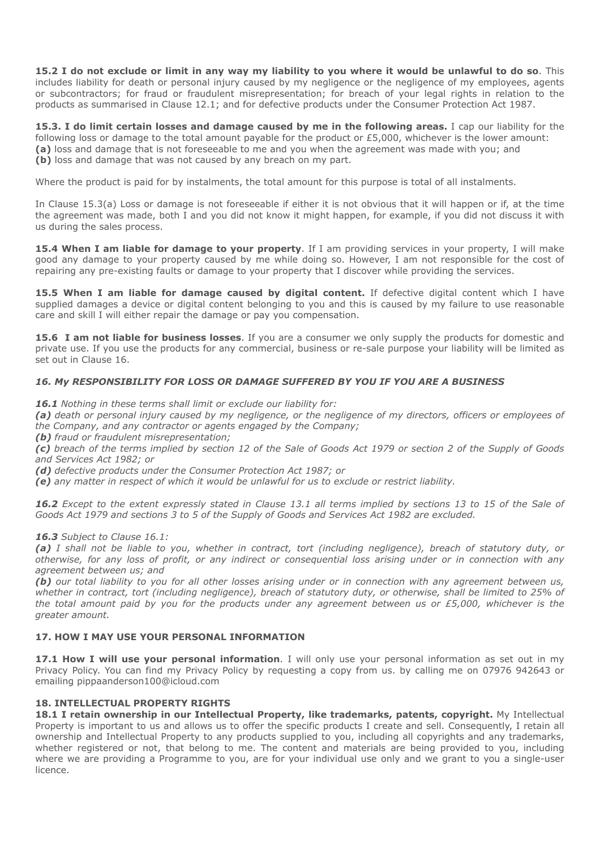**15.2 I do not exclude or limit in any way my liability to you where it would be unlawful to do so**. This includes liability for death or personal injury caused by my negligence or the negligence of my employees, agents or subcontractors; for fraud or fraudulent misrepresentation; for breach of your legal rights in relation to the products as summarised in Clause 12.1; and for defective products under the Consumer Protection Act 1987.

**15.3. I do limit certain losses and damage caused by me in the following areas.** I cap our liability for the following loss or damage to the total amount payable for the product or £5,000, whichever is the lower amount: **(a)** loss and damage that is not foreseeable to me and you when the agreement was made with you; and **(b)** loss and damage that was not caused by any breach on my part.

Where the product is paid for by instalments, the total amount for this purpose is total of all instalments.

In Clause 15.3(a) Loss or damage is not foreseeable if either it is not obvious that it will happen or if, at the time the agreement was made, both I and you did not know it might happen, for example, if you did not discuss it with us during the sales process.

**15.4 When I am liable for damage to your property**. If I am providing services in your property, I will make good any damage to your property caused by me while doing so. However, I am not responsible for the cost of repairing any pre-existing faults or damage to your property that I discover while providing the services.

**15.5 When I am liable for damage caused by digital content.** If defective digital content which I have supplied damages a device or digital content belonging to you and this is caused by my failure to use reasonable care and skill I will either repair the damage or pay you compensation.

**15.6 I am not liable for business losses**. If you are a consumer we only supply the products for domestic and private use. If you use the products for any commercial, business or re-sale purpose your liability will be limited as set out in Clause 16.

#### *16. My RESPONSIBILITY FOR LOSS OR DAMAGE SUFFERED BY YOU IF YOU ARE A BUSINESS*

*16.1 Nothing in these terms shall limit or exclude our liability for:* 

*(a) death or personal injury caused by my negligence, or the negligence of my directors, officers or employees of the Company, and any contractor or agents engaged by the Company;*

*(b) fraud or fraudulent misrepresentation;* 

*(c) breach of the terms implied by section 12 of the Sale of Goods Act 1979 or section 2 of the Supply of Goods and Services Act 1982; or* 

*(d) defective products under the Consumer Protection Act 1987; or* 

*(e) any matter in respect of which it would be unlawful for us to exclude or restrict liability.* 

*16.2 Except to the extent expressly stated in Clause 13.1 all terms implied by sections 13 to 15 of the Sale of Goods Act 1979 and sections 3 to 5 of the Supply of Goods and Services Act 1982 are excluded.* 

*16.3 Subject to Clause 16.1:* 

*(a) I shall not be liable to you, whether in contract, tort (including negligence), breach of statutory duty, or otherwise, for any loss of profit, or any indirect or consequential loss arising under or in connection with any agreement between us; and* 

*(b) our total liability to you for all other losses arising under or in connection with any agreement between us, whether in contract, tort (including negligence), breach of statutory duty, or otherwise, shall be limited to 25% of the total amount paid by you for the products under any agreement between us or £5,000, whichever is the greater amount.* 

#### **17. HOW I MAY USE YOUR PERSONAL INFORMATION**

**17.1 How I will use your personal information**. I will only use your personal information as set out in my Privacy Policy. You can find my Privacy Policy by requesting a copy from us. by calling me on 07976 942643 or emailing pippaanderson100@icloud.com

## **18. INTELLECTUAL PROPERTY RIGHTS**

18.1 I retain ownership in our Intellectual Property, like trademarks, patents, copyright. My Intellectual Property is important to us and allows us to offer the specific products I create and sell. Consequently, I retain all ownership and Intellectual Property to any products supplied to you, including all copyrights and any trademarks, whether registered or not, that belong to me. The content and materials are being provided to you, including where we are providing a Programme to you, are for your individual use only and we grant to you a single-user licence.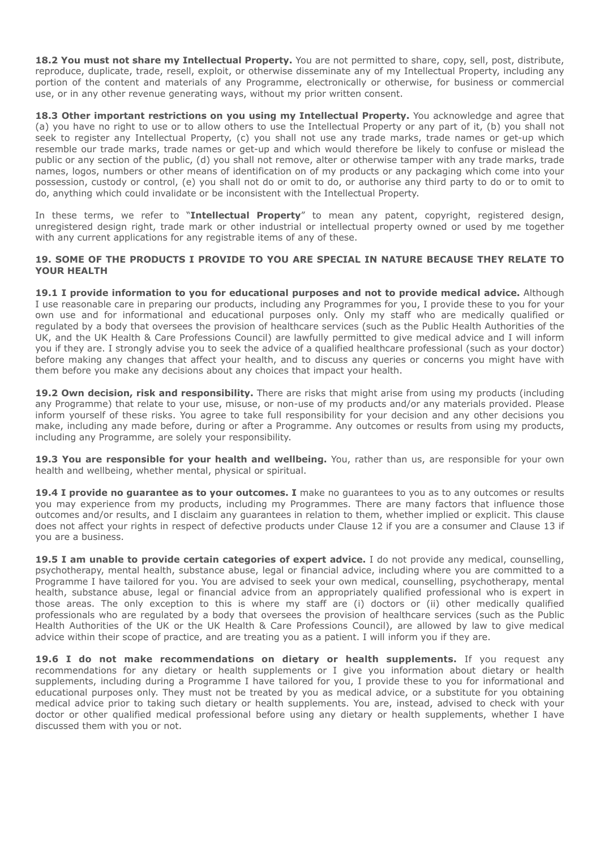**18.2 You must not share my Intellectual Property.** You are not permitted to share, copy, sell, post, distribute, reproduce, duplicate, trade, resell, exploit, or otherwise disseminate any of my Intellectual Property, including any portion of the content and materials of any Programme, electronically or otherwise, for business or commercial use, or in any other revenue generating ways, without my prior written consent.

18.3 Other important restrictions on you using my Intellectual Property. You acknowledge and agree that (a) you have no right to use or to allow others to use the Intellectual Property or any part of it, (b) you shall not seek to register any Intellectual Property, (c) you shall not use any trade marks, trade names or get-up which resemble our trade marks, trade names or get-up and which would therefore be likely to confuse or mislead the public or any section of the public, (d) you shall not remove, alter or otherwise tamper with any trade marks, trade names, logos, numbers or other means of identification on of my products or any packaging which come into your possession, custody or control, (e) you shall not do or omit to do, or authorise any third party to do or to omit to do, anything which could invalidate or be inconsistent with the Intellectual Property.

In these terms, we refer to "**Intellectual Property**" to mean any patent, copyright, registered design, unregistered design right, trade mark or other industrial or intellectual property owned or used by me together with any current applications for any registrable items of any of these.

#### **19. SOME OF THE PRODUCTS I PROVIDE TO YOU ARE SPECIAL IN NATURE BECAUSE THEY RELATE TO YOUR HEALTH**

**19.1 I provide information to you for educational purposes and not to provide medical advice.** Although I use reasonable care in preparing our products, including any Programmes for you, I provide these to you for your own use and for informational and educational purposes only. Only my staff who are medically qualified or regulated by a body that oversees the provision of healthcare services (such as the Public Health Authorities of the UK, and the UK Health & Care Professions Council) are lawfully permitted to give medical advice and I will inform you if they are. I strongly advise you to seek the advice of a qualified healthcare professional (such as your doctor) before making any changes that affect your health, and to discuss any queries or concerns you might have with them before you make any decisions about any choices that impact your health.

**19.2 Own decision, risk and responsibility.** There are risks that might arise from using my products (including any Programme) that relate to your use, misuse, or non-use of my products and/or any materials provided. Please inform yourself of these risks. You agree to take full responsibility for your decision and any other decisions you make, including any made before, during or after a Programme. Any outcomes or results from using my products, including any Programme, are solely your responsibility.

19.3 You are responsible for your health and wellbeing. You, rather than us, are responsible for your own health and wellbeing, whether mental, physical or spiritual.

**19.4 I provide no guarantee as to your outcomes. I** make no guarantees to you as to any outcomes or results you may experience from my products, including my Programmes. There are many factors that influence those outcomes and/or results, and I disclaim any guarantees in relation to them, whether implied or explicit. This clause does not affect your rights in respect of defective products under Clause 12 if you are a consumer and Clause 13 if you are a business.

**19.5 I am unable to provide certain categories of expert advice.** I do not provide any medical, counselling, psychotherapy, mental health, substance abuse, legal or financial advice, including where you are committed to a Programme I have tailored for you. You are advised to seek your own medical, counselling, psychotherapy, mental health, substance abuse, legal or financial advice from an appropriately qualified professional who is expert in those areas. The only exception to this is where my staff are (i) doctors or (ii) other medically qualified professionals who are regulated by a body that oversees the provision of healthcare services (such as the Public Health Authorities of the UK or the UK Health & Care Professions Council), are allowed by law to give medical advice within their scope of practice, and are treating you as a patient. I will inform you if they are.

19.6 I do not make recommendations on dietary or health supplements. If you request any recommendations for any dietary or health supplements or I give you information about dietary or health supplements, including during a Programme I have tailored for you, I provide these to you for informational and educational purposes only. They must not be treated by you as medical advice, or a substitute for you obtaining medical advice prior to taking such dietary or health supplements. You are, instead, advised to check with your doctor or other qualified medical professional before using any dietary or health supplements, whether I have discussed them with you or not.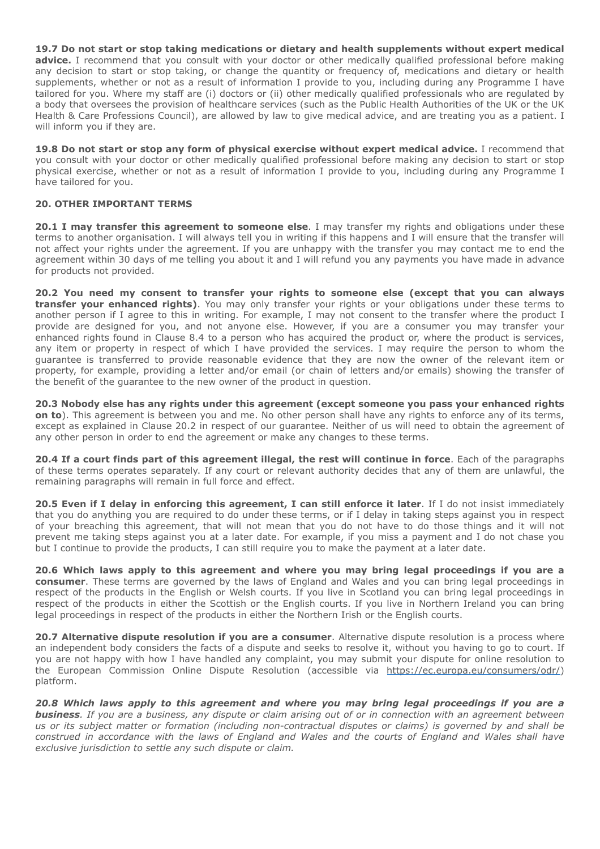**19.7 Do not start or stop taking medications or dietary and health supplements without expert medical advice.** I recommend that you consult with your doctor or other medically qualified professional before making any decision to start or stop taking, or change the quantity or frequency of, medications and dietary or health supplements, whether or not as a result of information I provide to you, including during any Programme I have tailored for you. Where my staff are (i) doctors or (ii) other medically qualified professionals who are regulated by a body that oversees the provision of healthcare services (such as the Public Health Authorities of the UK or the UK Health & Care Professions Council), are allowed by law to give medical advice, and are treating you as a patient. I will inform you if they are.

**19.8 Do not start or stop any form of physical exercise without expert medical advice.** I recommend that you consult with your doctor or other medically qualified professional before making any decision to start or stop physical exercise, whether or not as a result of information I provide to you, including during any Programme I have tailored for you.

## **20. OTHER IMPORTANT TERMS**

**20.1 I may transfer this agreement to someone else**. I may transfer my rights and obligations under these terms to another organisation. I will always tell you in writing if this happens and I will ensure that the transfer will not affect your rights under the agreement. If you are unhappy with the transfer you may contact me to end the agreement within 30 days of me telling you about it and I will refund you any payments you have made in advance for products not provided.

**20.2 You need my consent to transfer your rights to someone else (except that you can always transfer your enhanced rights)**. You may only transfer your rights or your obligations under these terms to another person if I agree to this in writing. For example, I may not consent to the transfer where the product I provide are designed for you, and not anyone else. However, if you are a consumer you may transfer your enhanced rights found in Clause 8.4 to a person who has acquired the product or, where the product is services, any item or property in respect of which I have provided the services. I may require the person to whom the guarantee is transferred to provide reasonable evidence that they are now the owner of the relevant item or property, for example, providing a letter and/or email (or chain of letters and/or emails) showing the transfer of the benefit of the guarantee to the new owner of the product in question.

**20.3 Nobody else has any rights under this agreement (except someone you pass your enhanced rights on to**). This agreement is between you and me. No other person shall have any rights to enforce any of its terms, except as explained in Clause 20.2 in respect of our guarantee. Neither of us will need to obtain the agreement of any other person in order to end the agreement or make any changes to these terms.

**20.4 If a court finds part of this agreement illegal, the rest will continue in force**. Each of the paragraphs of these terms operates separately. If any court or relevant authority decides that any of them are unlawful, the remaining paragraphs will remain in full force and effect.

**20.5 Even if I delay in enforcing this agreement, I can still enforce it later**. If I do not insist immediately that you do anything you are required to do under these terms, or if I delay in taking steps against you in respect of your breaching this agreement, that will not mean that you do not have to do those things and it will not prevent me taking steps against you at a later date. For example, if you miss a payment and I do not chase you but I continue to provide the products, I can still require you to make the payment at a later date.

**20.6 Which laws apply to this agreement and where you may bring legal proceedings if you are a consumer**. These terms are governed by the laws of England and Wales and you can bring legal proceedings in respect of the products in the English or Welsh courts. If you live in Scotland you can bring legal proceedings in respect of the products in either the Scottish or the English courts. If you live in Northern Ireland you can bring legal proceedings in respect of the products in either the Northern Irish or the English courts.

**20.7 Alternative dispute resolution if you are a consumer**. Alternative dispute resolution is a process where an independent body considers the facts of a dispute and seeks to resolve it, without you having to go to court. If you are not happy with how I have handled any complaint, you may submit your dispute for online resolution to the European Commission Online Dispute Resolution (accessible via [https://ec.europa.eu/consumers/odr/\)](https://ec.europa.eu/consumers/odr/) platform.

*20.8 Which laws apply to this agreement and where you may bring legal proceedings if you are a business. If you are a business, any dispute or claim arising out of or in connection with an agreement between us or its subject matter or formation (including non-contractual disputes or claims) is governed by and shall be construed in accordance with the laws of England and Wales and the courts of England and Wales shall have exclusive jurisdiction to settle any such dispute or claim.*